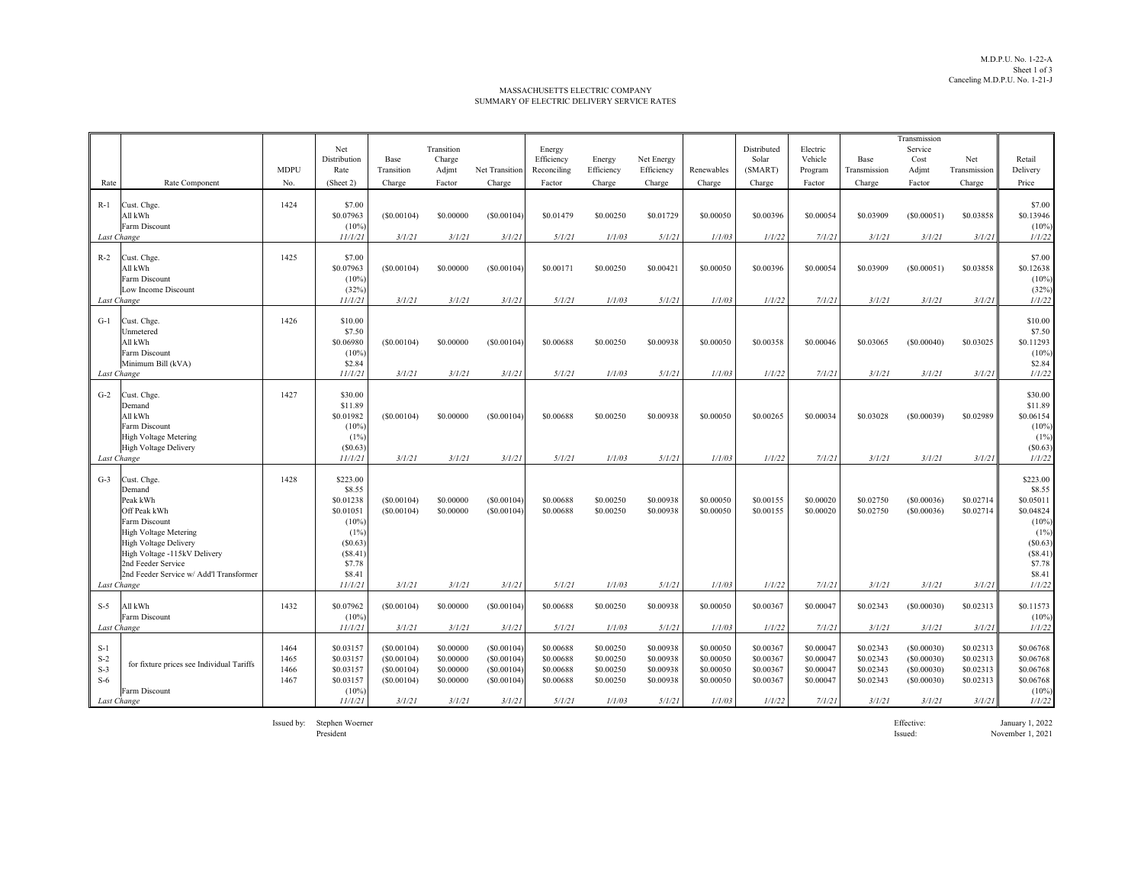## MASSACHUSETTS ELECTRIC COMPANYSUMMARY OF ELECTRIC DELIVERY SERVICE RATES

|             |                                               |             |              |            |            |                |             |            |            |            |             |           |              | Transmission |              |                        |
|-------------|-----------------------------------------------|-------------|--------------|------------|------------|----------------|-------------|------------|------------|------------|-------------|-----------|--------------|--------------|--------------|------------------------|
|             |                                               |             | Net          |            | Transition |                | Energy      |            |            |            | Distributed | Electric  |              | Service      |              |                        |
|             |                                               |             | Distribution | Base       | Charge     |                | Efficiency  | Energy     | Net Energy |            | Solar       | Vehicle   | Base         | Cost         | Net          | Retail                 |
|             |                                               | <b>MDPU</b> | Rate         | Transition | Adjmt      | Net Transition | Reconciling | Efficiency | Efficiency | Renewables | (SMART)     | Program   | Transmission | Adjmt        | Transmission | Delivery               |
| Rate        | Rate Component                                | No.         | (Sheet 2)    | Charge     | Factor     | Charge         | Factor      | Charge     | Charge     | Charge     | Charge      | Factor    | Charge       | Factor       | Charge       | Price                  |
|             |                                               |             |              |            |            |                |             |            |            |            |             |           |              |              |              |                        |
| $R-1$       | Cust. Chge.                                   | 1424        | \$7.00       |            |            |                |             |            |            |            |             |           |              |              |              | \$7.00                 |
|             | All kWh                                       |             | \$0.07963    | (S0.00104) | \$0.00000  | (S0.00104)     | \$0.01479   | \$0.00250  | \$0.01729  | \$0,00050  | \$0.00396   | \$0,00054 | \$0.03909    | (S0.00051)   | \$0.03858    | \$0.13946              |
|             | Farm Discount                                 |             | (10%         |            |            |                |             |            |            |            |             |           |              |              |              | $(10\%)$               |
| Last Change |                                               |             | 11/1/21      | 3/1/21     | 3/1/21     | 3/1/21         | 5/1/21      | 1/1/03     | 5/1/21     | 1/1/03     | 1/1/22      | 7/1/21    | 3/1/21       | 3/1/21       | 3/1/21       | 1/1/22                 |
| $R-2$       | Cust. Chge.                                   | 1425        | \$7.00       |            |            |                |             |            |            |            |             |           |              |              |              | \$7.00                 |
|             | All kWh                                       |             | \$0.07963    | (S0.00104) | \$0.00000  | (S0.00104)     | \$0.00171   | \$0.00250  | \$0.00421  | \$0.00050  | \$0.00396   | \$0.00054 | \$0.03909    | (S0.00051)   | \$0.03858    | \$0.12638              |
|             | Farm Discount                                 |             | (10%         |            |            |                |             |            |            |            |             |           |              |              |              | $(10\%)$               |
|             | Low Income Discount                           |             | (32%)        |            |            |                |             |            |            |            |             |           |              |              |              | (32%)                  |
| Last Change |                                               |             | 11/1/21      | 3/1/21     | 3/1/21     | 3/1/21         | 5/1/21      | 1/1/03     | 5/1/21     | 1/1/03     | 1/1/22      | 7/1/21    | 3/1/21       | 3/1/21       | 3/1/21       | 1/1/22                 |
|             |                                               |             |              |            |            |                |             |            |            |            |             |           |              |              |              |                        |
| $G-1$       | Cust. Chge.                                   | 1426        | \$10.00      |            |            |                |             |            |            |            |             |           |              |              |              | \$10.00                |
|             | Unmetered                                     |             | \$7.50       |            |            |                |             |            |            |            |             |           |              |              |              | \$7.50                 |
|             | All kWh                                       |             | \$0.06980    | (S0.00104) | \$0.00000  | (S0.00104)     | \$0.00688   | \$0.00250  | \$0.00938  | \$0.00050  | \$0.00358   | \$0.00046 | \$0.03065    | (S0.00040)   | \$0.03025    | \$0.11293              |
|             | Farm Discount                                 |             | (10%         |            |            |                |             |            |            |            |             |           |              |              |              | $(10\%)$               |
|             | Minimum Bill (kVA)                            |             | \$2.84       |            |            |                |             |            |            |            |             |           |              |              |              | \$2.84                 |
| Last Change |                                               |             | 11/1/21      | 3/1/21     | 3/1/21     | 3/1/21         | 5/1/21      | 1/1/03     | 5/1/21     | 1/1/03     | 1/1/22      | 7/1/21    | 3/1/21       | 3/1/21       | 3/1/21       | 1/1/22                 |
| $G-2$       | Cust. Chge.                                   | 1427        | \$30.00      |            |            |                |             |            |            |            |             |           |              |              |              | \$30.00                |
|             | Demand                                        |             | \$11.89      |            |            |                |             |            |            |            |             |           |              |              |              | \$11.89                |
|             | All kWh                                       |             | \$0.01982    | (S0.00104) | \$0,00000  | (S0.00104)     | \$0.00688   | \$0.00250  | \$0.00938  | \$0,00050  | \$0.00265   | \$0,00034 | \$0.03028    | (S0.00039)   | \$0.02989    | \$0.06154              |
|             | Farm Discount                                 |             | (10%         |            |            |                |             |            |            |            |             |           |              |              |              | $(10\%)$               |
|             | <b>High Voltage Metering</b>                  |             | (1%          |            |            |                |             |            |            |            |             |           |              |              |              | (1%)                   |
|             | <b>High Voltage Delivery</b>                  |             | (S0.63)      |            |            |                |             |            |            |            |             |           |              |              |              | (S0.63)                |
| Last Change |                                               |             | 11/1/21      | 3/1/21     | 3/1/21     | 3/1/21         | 5/1/21      | 1/1/03     | 5/1/21     | 1/1/03     | 1/1/22      | 7/1/21    | 3/1/21       | 3/1/21       | 3/1/21       | 1/1/22                 |
|             |                                               |             |              |            |            |                |             |            |            |            |             |           |              |              |              |                        |
| $G-3$       | Cust. Chge.                                   | 1428        | \$223.00     |            |            |                |             |            |            |            |             |           |              |              |              | \$223.00               |
|             | Demand                                        |             | \$8.55       |            |            |                |             |            |            |            |             |           |              |              |              | \$8.55                 |
|             | Peak kWh                                      |             | \$0.01238    | (S0.00104) | \$0.00000  | (S0.00104)     | \$0.00688   | \$0.00250  | \$0.00938  | \$0,00050  | \$0.00155   | \$0.00020 | \$0.02750    | (S0.00036)   | \$0.02714    | \$0.05011<br>\$0.04824 |
|             | Off Peak kWh                                  |             | \$0.01051    | (S0.00104) | \$0.00000  | (S0.00104)     | \$0.00688   | \$0.00250  | \$0.00938  | \$0.00050  | \$0.00155   | \$0.00020 | \$0.02750    | (S0.00036)   | \$0.02714    |                        |
|             | Farm Discount<br><b>High Voltage Metering</b> |             | (10%<br>(1%  |            |            |                |             |            |            |            |             |           |              |              |              | $(10\%)$<br>(1%)       |
|             | High Voltage Delivery                         |             | (S0.63)      |            |            |                |             |            |            |            |             |           |              |              |              | (\$0.63)               |
|             | High Voltage -115kV Delivery                  |             | (S8.41)      |            |            |                |             |            |            |            |             |           |              |              |              | (S8.41)                |
|             | 2nd Feeder Service                            |             | \$7.78       |            |            |                |             |            |            |            |             |           |              |              |              | \$7.78                 |
|             | 2nd Feeder Service w/ Add'l Transformer       |             | \$8.41       |            |            |                |             |            |            |            |             |           |              |              |              | \$8.41                 |
| Last Change |                                               |             | 11/1/21      | 3/1/21     | 3/1/21     | 3/1/21         | 5/1/21      | 1/1/03     | 5/1/21     | 1/1/03     | 1/1/22      | 7/1/21    | 3/1/21       | 3/1/21       | 3/1/21       | 1/1/22                 |
|             |                                               |             |              |            |            |                |             |            |            |            |             |           |              |              |              |                        |
| $S-5$       | All kWh                                       | 1432        | \$0.07962    | (S0.00104) | \$0.00000  | (S0.00104)     | \$0.00688   | \$0.00250  | \$0.00938  | \$0.00050  | \$0.00367   | \$0.00047 | \$0.02343    | (S0.00030)   | \$0.02313    | \$0.11573              |
|             | Farm Discount                                 |             | (10%         |            |            |                |             |            |            |            |             |           |              |              |              | $(10\%)$               |
| Last Change |                                               |             | 11/1/21      | 3/1/21     | 3/1/21     | 3/1/21         | 5/1/21      | 1/1/03     | 5/1/21     | 1/1/03     | 1/1/22      | 7/1/21    | 3/1/21       | 3/1/21       | 3/1/21       | 1/1/22                 |
| $S-1$       |                                               | 1464        | \$0.03157    | (S0.00104) | \$0.00000  | (S0.00104)     | \$0.00688   | \$0.00250  | \$0.00938  | \$0.00050  | \$0.00367   | \$0,00047 | \$0.02343    | (S0.00030)   | \$0.02313    | \$0.06768              |
| $S-2$       |                                               | 1465        | \$0.03157    | (S0.00104) | \$0.00000  | (S0.00104)     | \$0.00688   | \$0.00250  | \$0.00938  | \$0.00050  | \$0.00367   | \$0.00047 | \$0.02343    | (S0.00030)   | \$0.02313    | \$0.06768              |
| $S-3$       | for fixture prices see Individual Tariffs     | 1466        | \$0.03157    | (S0.00104) | \$0.00000  | (S0.00104)     | \$0.00688   | \$0.00250  | \$0.00938  | \$0,00050  | \$0.00367   | \$0.00047 | \$0.02343    | (S0.00030)   | \$0.02313    | \$0.06768              |
| $S-6$       |                                               | 1467        | \$0.03157    | (S0.00104) | \$0.00000  | (S0.00104)     | \$0.00688   | \$0.00250  | \$0.00938  | \$0.00050  | \$0.00367   | \$0.00047 | \$0.02343    | (S0.00030)   | \$0.02313    | \$0.06768              |
|             | Farm Discount                                 |             | $(10\%)$     |            |            |                |             |            |            |            |             |           |              |              |              | $(10\%)$               |
| Last Change |                                               |             | 11/1/21      | 3/1/21     | 3/1/21     | 3/1/21         | 5/1/21      | 1/1/03     | 5/1/21     | 1/1/03     | 1/1/22      | 7/1/21    | 3/1/21       | 3/1/21       | 3/1/21       | 1/1/22                 |

President

Issued by: Stephen Woerner Effective: January 1, 2022 Issued: November 1, 2021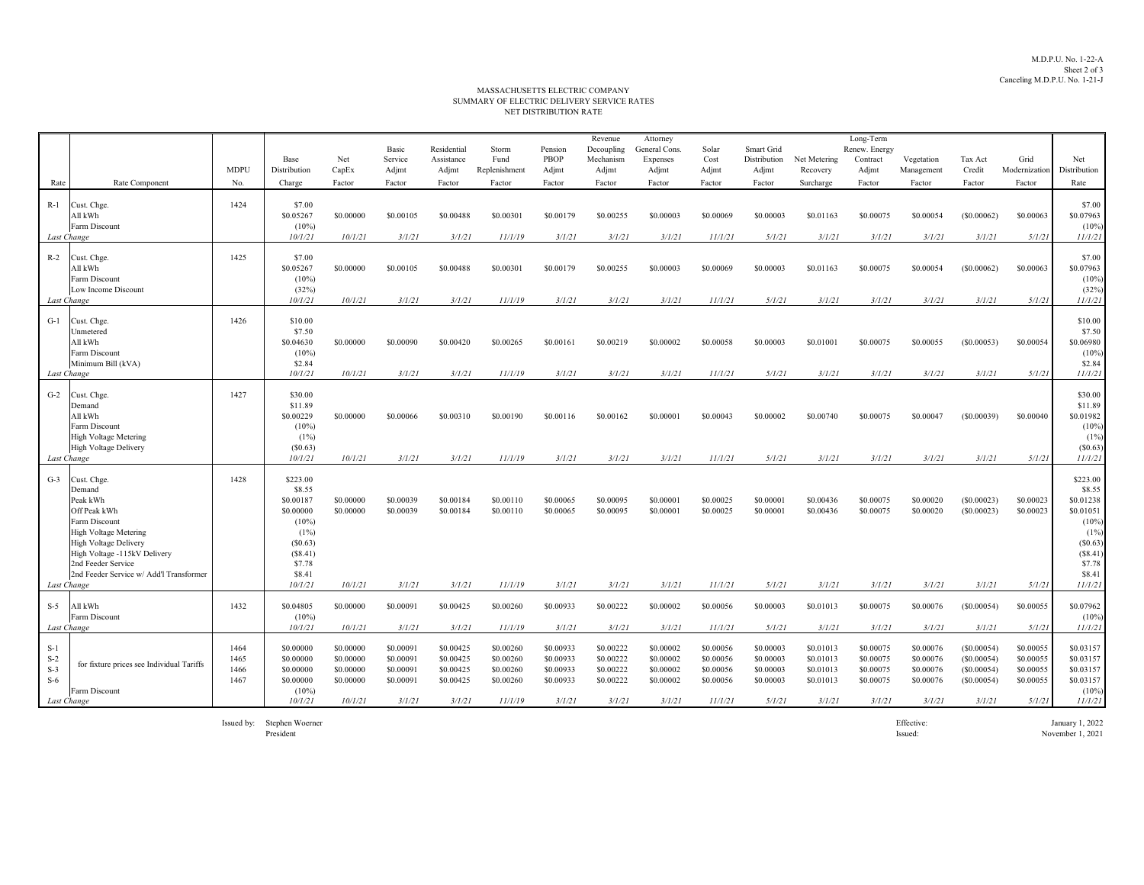M.D.P.U. No. 1-22-A Sheet 2 of 3Canceling M.D.P.U. No. 1-21-J

## NET DISTRIBUTION RATE MASSACHUSETTS ELECTRIC COMPANYSUMMARY OF ELECTRIC DELIVERY SERVICE RATES

|                                                 |                                                                                                                                                                                                                              | <b>MDPU</b>                  | Base<br>Distribution                                                                                                  | Net<br>CapEx                                                | Basic<br>Service<br>Adjmt                                  | Residential<br>Assistance<br>Adjmt                         | Storm<br>Fund<br>Replenishment                              | Pension<br>PBOP<br>Adjmt                                   | Revenue<br>Decoupling<br>Mechanism<br>Adjmt                | Attorney<br>General Cons<br>Expenses<br>Adjmt              | Solar<br>Cost<br>Adjmt                                      | Smart Grid<br>Distribution<br>Adjmt                        | Net Metering<br>Recovery                                   | Long-Term<br>Renew. Energy<br>Contract<br>Adjmt            | Vegetation<br>Management                                   | Tax Act<br>Credit                                              | Grid<br>Modernization                                      | Net<br>Distribution                                                                                                   |
|-------------------------------------------------|------------------------------------------------------------------------------------------------------------------------------------------------------------------------------------------------------------------------------|------------------------------|-----------------------------------------------------------------------------------------------------------------------|-------------------------------------------------------------|------------------------------------------------------------|------------------------------------------------------------|-------------------------------------------------------------|------------------------------------------------------------|------------------------------------------------------------|------------------------------------------------------------|-------------------------------------------------------------|------------------------------------------------------------|------------------------------------------------------------|------------------------------------------------------------|------------------------------------------------------------|----------------------------------------------------------------|------------------------------------------------------------|-----------------------------------------------------------------------------------------------------------------------|
| Rate                                            | Rate Component                                                                                                                                                                                                               | No.                          | Charge                                                                                                                | Factor                                                      | Factor                                                     | Factor                                                     | Factor                                                      | Factor                                                     | Factor                                                     | Factor                                                     | Factor                                                      | Factor                                                     | Surcharge                                                  | Factor                                                     | Factor                                                     | Factor                                                         | Factor                                                     | Rate                                                                                                                  |
| $R-1$<br>Last Change                            | Cust. Chge.<br>All kWh<br>Farm Discount                                                                                                                                                                                      | 1424                         | \$7.00<br>\$0.05267<br>$(10\%)$<br>10/1/21                                                                            | \$0,00000<br>10/1/21                                        | \$0.00105<br>3/1/21                                        | \$0.00488<br>3/1/21                                        | \$0.00301<br>11/1/19                                        | \$0.00179<br>3/1/21                                        | \$0.00255<br>3/1/21                                        | \$0,00003<br>3/1/21                                        | \$0,00069<br>11/1/21                                        | \$0.00003<br>5/1/21                                        | \$0.01163<br>3/1/21                                        | \$0,00075<br>3/1/21                                        | \$0,00054<br>3/1/21                                        | (S0.00062)<br>3/1/21                                           | \$0,00063<br>5/1/21                                        | \$7.00<br>\$0.07963<br>$(10\%)$<br>11/1/21                                                                            |
| $R-2$<br>Last Change                            | Cust. Chge.<br>All kWh<br>Farm Discount<br>Low Income Discount                                                                                                                                                               | 1425                         | \$7.00<br>\$0.05267<br>$(10\%)$<br>(32%)<br>10/1/21                                                                   | \$0.00000<br>10/1/21                                        | \$0.00105<br>3/1/21                                        | \$0.00488<br>3/1/21                                        | \$0.00301<br>11/1/19                                        | \$0.00179<br>3/1/21                                        | \$0.00255<br>3/1/21                                        | \$0.00003<br>3/1/21                                        | \$0.00069<br>11/1/21                                        | \$0.00003<br>5/1/21                                        | \$0.01163<br>3/1/21                                        | \$0.00075<br>3/1/21                                        | \$0.00054<br>3/1/21                                        | (S0.00062)<br>3/1/21                                           | \$0.00063<br>5/1/21                                        | \$7.00<br>\$0.07963<br>$(10\%)$<br>(32%)<br>11/1/21                                                                   |
|                                                 |                                                                                                                                                                                                                              |                              |                                                                                                                       |                                                             |                                                            |                                                            |                                                             |                                                            |                                                            |                                                            |                                                             |                                                            |                                                            |                                                            |                                                            |                                                                |                                                            |                                                                                                                       |
| $G-1$<br>Last Change                            | Cust. Chge.<br>Unmetered<br>All kWh<br>Farm Discount<br>Minimum Bill (kVA)                                                                                                                                                   | 1426                         | \$10.00<br>\$7.50<br>\$0.04630<br>$(10\%)$<br>\$2.84<br>10/1/21                                                       | \$0.00000<br>10/1/21                                        | \$0.00090<br>3/1/21                                        | \$0.00420<br>3/1/21                                        | \$0.00265<br>11/1/19                                        | \$0.00161<br>3/1/21                                        | \$0.00219<br>3/1/21                                        | \$0.00002<br>3/1/21                                        | \$0.00058<br>11/1/21                                        | \$0.00003<br>5/1/21                                        | \$0.01001<br>3/1/21                                        | \$0.00075<br>3/1/21                                        | \$0.00055<br>3/1/21                                        | (S0.00053)<br>3/1/21                                           | \$0.00054<br>5/1/21                                        | \$10.00<br>\$7.50<br>\$0.06980<br>$(10\%)$<br>\$2.84<br>11/1/21                                                       |
| $G-2$                                           | Cust. Chge.<br>Demand<br>All kWh<br>Farm Discount<br>High Voltage Metering<br><b>High Voltage Delivery</b>                                                                                                                   | 1427                         | \$30.00<br>\$11.89<br>\$0.00229<br>$(10\%)$<br>(1%)<br>(S0.63)                                                        | \$0.00000                                                   | \$0,00066                                                  | \$0.00310                                                  | \$0.00190                                                   | \$0.00116                                                  | \$0.00162                                                  | \$0.00001                                                  | \$0,00043                                                   | \$0.00002                                                  | \$0.00740                                                  | \$0,00075                                                  | \$0.00047                                                  | (S0.00039)                                                     | \$0.00040                                                  | \$30.00<br>\$11.89<br>\$0.01982<br>$(10\%)$<br>(1%)<br>(S0.63)                                                        |
| Last Change                                     |                                                                                                                                                                                                                              |                              | 10/1/21                                                                                                               | 10/1/21                                                     | 3/1/21                                                     | 3/1/21                                                     | 11/1/19                                                     | 3/1/21                                                     | 3/1/21                                                     | 3/1/21                                                     | 11/1/21                                                     | 5/1/21                                                     | 3/1/21                                                     | 3/1/21                                                     | 3/1/21                                                     | 3/1/21                                                         | 5/1/21                                                     | 11/1/21                                                                                                               |
| $G-3$<br>Last Change                            | Cust. Chge.<br>Demand<br>Peak kWh<br>Off Peak kWh<br>Farm Discount<br><b>High Voltage Metering</b><br>High Voltage Delivery<br>High Voltage -115kV Delivery<br>2nd Feeder Service<br>2nd Feeder Service w/ Add'l Transformer | 1428                         | \$223.00<br>\$8.55<br>\$0.00187<br>\$0,00000<br>$(10\%)$<br>(1%)<br>(S0.63)<br>(S8.41)<br>\$7.78<br>\$8.41<br>10/1/21 | \$0,00000<br>\$0,00000<br>10/1/21                           | \$0.00039<br>\$0.00039<br>3/1/21                           | \$0.00184<br>\$0.00184<br>3/1/21                           | \$0.00110<br>\$0.00110<br>11/1/19                           | \$0,00065<br>\$0,00065<br>3/1/21                           | \$0.00095<br>\$0.00095<br>3/1/21                           | \$0,00001<br>\$0,00001<br>3/1/21                           | \$0,00025<br>\$0,00025<br>11/1/21                           | \$0,00001<br>\$0,00001<br>5/1/21                           | \$0.00436<br>\$0.00436<br>3/1/21                           | \$0,00075<br>\$0,00075<br>3/1/21                           | \$0.00020<br>\$0.00020<br>3/1/21                           | (S0.00023)<br>(S0.00023)<br>3/1/21                             | \$0,00023<br>\$0,00023<br>5/1/21                           | \$223.00<br>\$8.55<br>\$0.01238<br>\$0.01051<br>$(10\%)$<br>(1%)<br>(S0.63)<br>(S8.41)<br>\$7.78<br>\$8.41<br>11/1/21 |
| $S-5$                                           | All kWh                                                                                                                                                                                                                      | 1432                         | \$0.04805                                                                                                             | \$0.00000                                                   | \$0.00091                                                  | \$0.00425                                                  | \$0.00260                                                   | \$0.00933                                                  | \$0.00222                                                  | \$0.00002                                                  | \$0.00056                                                   | \$0.00003                                                  | \$0.01013                                                  | \$0.00075                                                  | \$0.00076                                                  | (S0.00054)                                                     | \$0.00055                                                  | \$0.07962                                                                                                             |
| Last Change                                     | Farm Discount                                                                                                                                                                                                                |                              | $(10\%)$<br>10/1/21                                                                                                   | 10/1/21                                                     | 3/1/21                                                     | 3/1/21                                                     | 11/1/19                                                     | 3/1/21                                                     | 3/1/21                                                     | 3/1/21                                                     | 11/1/21                                                     | 5/1/21                                                     | 3/1/21                                                     | 3/1/21                                                     | 3/1/21                                                     | 3/1/21                                                         | 5/1/21                                                     | $(10\%)$<br>11/1/21                                                                                                   |
| $S-1$<br>$S-2$<br>$S-3$<br>$S-6$<br>Last Change | for fixture prices see Individual Tariffs<br>Farm Discount                                                                                                                                                                   | 1464<br>1465<br>1466<br>1467 | \$0.00000<br>\$0,00000<br>\$0.00000<br>\$0,00000<br>$(10\%)$<br>10/1/21                                               | \$0,00000<br>\$0.00000<br>\$0.00000<br>\$0,00000<br>10/1/21 | \$0.00091<br>\$0.00091<br>\$0.00091<br>\$0,00091<br>3/1/21 | \$0.00425<br>\$0.00425<br>\$0.00425<br>\$0.00425<br>3/1/21 | \$0.00260<br>\$0.00260<br>\$0.00260<br>\$0.00260<br>11/1/19 | \$0.00933<br>\$0.00933<br>\$0.00933<br>\$0.00933<br>3/1/21 | \$0.00222<br>\$0.00222<br>\$0.00222<br>\$0.00222<br>3/1/21 | \$0.00002<br>\$0.00002<br>\$0.00002<br>\$0,00002<br>3/1/21 | \$0,00056<br>\$0.00056<br>\$0.00056<br>\$0,00056<br>11/1/21 | \$0,00003<br>\$0.00003<br>\$0.00003<br>\$0.00003<br>5/1/21 | \$0.01013<br>\$0.01013<br>\$0.01013<br>\$0.01013<br>3/1/21 | \$0,00075<br>\$0.00075<br>\$0.00075<br>\$0,00075<br>3/1/21 | \$0.00076<br>\$0.00076<br>\$0.00076<br>\$0.00076<br>3/1/21 | (S0.00054)<br>(S0.00054)<br>(S0.00054)<br>(S0.00054)<br>3/1/21 | \$0.00055<br>\$0.00055<br>\$0.00055<br>\$0.00055<br>5/1/21 | \$0.03157<br>\$0.03157<br>\$0.03157<br>\$0.03157<br>(10%)<br>11/1/21                                                  |

Issued by: Stephen Woerner Stephen Woerner Effective: January 1, 2022

President

Issued: November 1, 2021